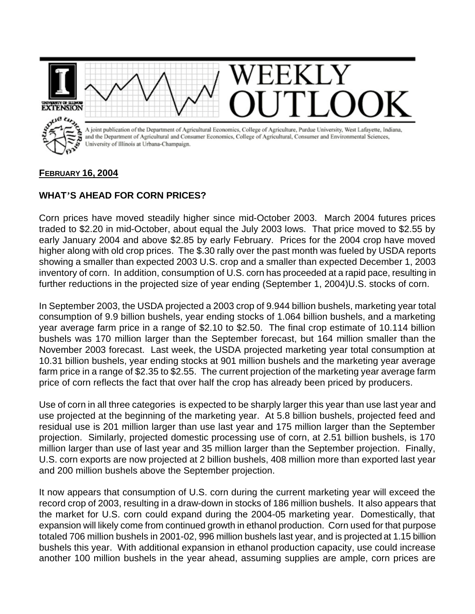

## **FEBRUARY 16, 2004**

## **WHAT'S AHEAD FOR CORN PRICES?**

Corn prices have moved steadily higher since mid-October 2003. March 2004 futures prices traded to \$2.20 in mid-October, about equal the July 2003 lows. That price moved to \$2.55 by early January 2004 and above \$2.85 by early February. Prices for the 2004 crop have moved higher along with old crop prices. The \$.30 rally over the past month was fueled by USDA reports showing a smaller than expected 2003 U.S. crop and a smaller than expected December 1, 2003 inventory of corn. In addition, consumption of U.S. corn has proceeded at a rapid pace, resulting in further reductions in the projected size of year ending (September 1, 2004)U.S. stocks of corn.

In September 2003, the USDA projected a 2003 crop of 9.944 billion bushels, marketing year total consumption of 9.9 billion bushels, year ending stocks of 1.064 billion bushels, and a marketing year average farm price in a range of \$2.10 to \$2.50. The final crop estimate of 10.114 billion bushels was 170 million larger than the September forecast, but 164 million smaller than the November 2003 forecast. Last week, the USDA projected marketing year total consumption at 10.31 billion bushels, year ending stocks at 901 million bushels and the marketing year average farm price in a range of \$2.35 to \$2.55. The current projection of the marketing year average farm price of corn reflects the fact that over half the crop has already been priced by producers.

Use of corn in all three categories is expected to be sharply larger this year than use last year and use projected at the beginning of the marketing year. At 5.8 billion bushels, projected feed and residual use is 201 million larger than use last year and 175 million larger than the September projection. Similarly, projected domestic processing use of corn, at 2.51 billion bushels, is 170 million larger than use of last year and 35 million larger than the September projection. Finally, U.S. corn exports are now projected at 2 billion bushels, 408 million more than exported last year and 200 million bushels above the September projection.

It now appears that consumption of U.S. corn during the current marketing year will exceed the record crop of 2003, resulting in a draw-down in stocks of 186 million bushels. It also appears that the market for U.S. corn could expand during the 2004-05 marketing year. Domestically, that expansion will likely come from continued growth in ethanol production. Corn used for that purpose totaled 706 million bushels in 2001-02, 996 million bushels last year, and is projected at 1.15 billion bushels this year. With additional expansion in ethanol production capacity, use could increase another 100 million bushels in the year ahead, assuming supplies are ample, corn prices are